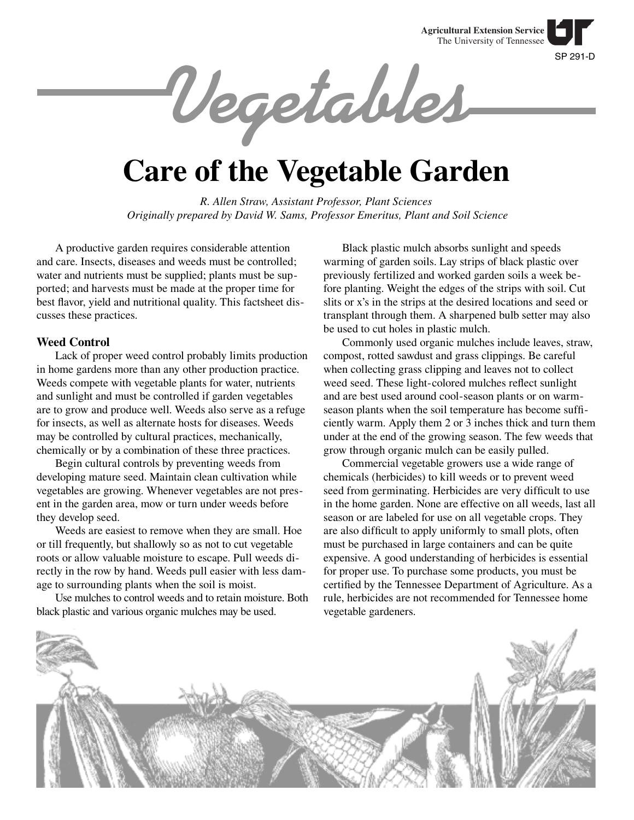SP 291-D **Agricultural Extension Service** The University of Tennessee

**Vegetables**

# **Care of the Vegetable Garden**

*R. Allen Straw, Assistant Professor, Plant Sciences Originally prepared by David W. Sams, Professor Emeritus, Plant and Soil Science*

A productive garden requires considerable attention and care. Insects, diseases and weeds must be controlled; water and nutrients must be supplied; plants must be supported; and harvests must be made at the proper time for best flavor, yield and nutritional quality. This factsheet discusses these practices.

## **Weed Control**

Lack of proper weed control probably limits production in home gardens more than any other production practice. Weeds compete with vegetable plants for water, nutrients and sunlight and must be controlled if garden vegetables are to grow and produce well. Weeds also serve as a refuge for insects, as well as alternate hosts for diseases. Weeds may be controlled by cultural practices, mechanically, chemically or by a combination of these three practices.

Begin cultural controls by preventing weeds from developing mature seed. Maintain clean cultivation while vegetables are growing. Whenever vegetables are not present in the garden area, mow or turn under weeds before they develop seed.

Weeds are easiest to remove when they are small. Hoe or till frequently, but shallowly so as not to cut vegetable roots or allow valuable moisture to escape. Pull weeds directly in the row by hand. Weeds pull easier with less damage to surrounding plants when the soil is moist.

Use mulches to control weeds and to retain moisture. Both black plastic and various organic mulches may be used.

Black plastic mulch absorbs sunlight and speeds warming of garden soils. Lay strips of black plastic over previously fertilized and worked garden soils a week before planting. Weight the edges of the strips with soil. Cut slits or x's in the strips at the desired locations and seed or transplant through them. A sharpened bulb setter may also be used to cut holes in plastic mulch.

Commonly used organic mulches include leaves, straw, compost, rotted sawdust and grass clippings. Be careful when collecting grass clipping and leaves not to collect weed seed. These light-colored mulches reflect sunlight and are best used around cool-season plants or on warmseason plants when the soil temperature has become suffi ciently warm. Apply them 2 or 3 inches thick and turn them under at the end of the growing season. The few weeds that grow through organic mulch can be easily pulled.

Commercial vegetable growers use a wide range of chemicals (herbicides) to kill weeds or to prevent weed seed from germinating. Herbicides are very difficult to use in the home garden. None are effective on all weeds, last all season or are labeled for use on all vegetable crops. They are also difficult to apply uniformly to small plots, often must be purchased in large containers and can be quite expensive. A good understanding of herbicides is essential for proper use. To purchase some products, you must be certified by the Tennessee Department of Agriculture. As a rule, herbicides are not recommended for Tennessee home vegetable gardeners.

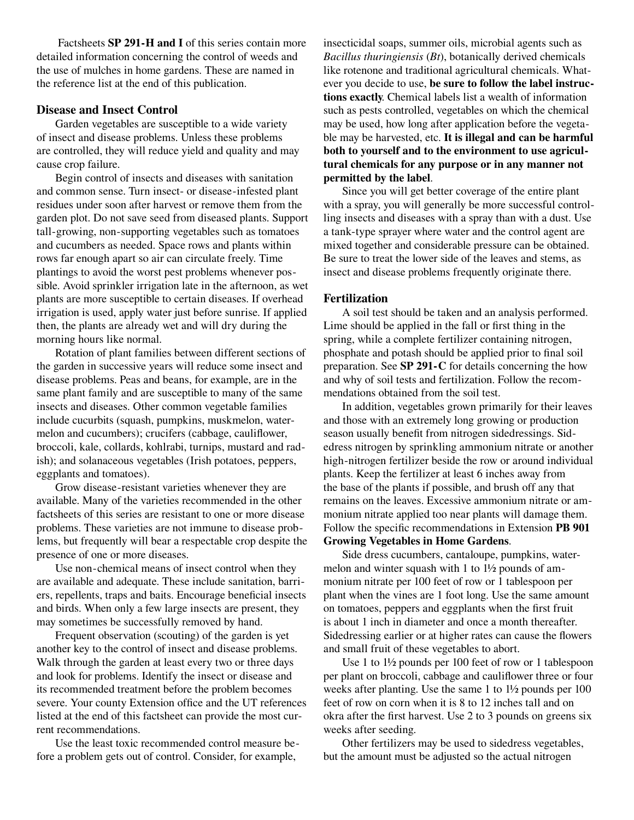Factsheets **SP 291-H and I** of this series contain more detailed information concerning the control of weeds and the use of mulches in home gardens. These are named in the reference list at the end of this publication.

# **Disease and Insect Control**

Garden vegetables are susceptible to a wide variety of insect and disease problems. Unless these problems are controlled, they will reduce yield and quality and may cause crop failure.

Begin control of insects and diseases with sanitation and common sense. Turn insect- or disease-infested plant residues under soon after harvest or remove them from the garden plot. Do not save seed from diseased plants. Support tall-growing, non-supporting vegetables such as tomatoes and cucumbers as needed. Space rows and plants within rows far enough apart so air can circulate freely. Time plantings to avoid the worst pest problems whenever possible. Avoid sprinkler irrigation late in the afternoon, as wet plants are more susceptible to certain diseases. If overhead irrigation is used, apply water just before sunrise. If applied then, the plants are already wet and will dry during the morning hours like normal.

Rotation of plant families between different sections of the garden in successive years will reduce some insect and disease problems. Peas and beans, for example, are in the same plant family and are susceptible to many of the same insects and diseases. Other common vegetable families include cucurbits (squash, pumpkins, muskmelon, watermelon and cucumbers); crucifers (cabbage, cauliflower, broccoli, kale, collards, kohlrabi, turnips, mustard and radish); and solanaceous vegetables (Irish potatoes, peppers, eggplants and tomatoes).

Grow disease-resistant varieties whenever they are available. Many of the varieties recommended in the other factsheets of this series are resistant to one or more disease problems. These varieties are not immune to disease problems, but frequently will bear a respectable crop despite the presence of one or more diseases.

Use non-chemical means of insect control when they are available and adequate. These include sanitation, barriers, repellents, traps and baits. Encourage beneficial insects and birds. When only a few large insects are present, they may sometimes be successfully removed by hand.

Frequent observation (scouting) of the garden is yet another key to the control of insect and disease problems. Walk through the garden at least every two or three days and look for problems. Identify the insect or disease and its recommended treatment before the problem becomes severe. Your county Extension office and the UT references listed at the end of this factsheet can provide the most current recommendations.

Use the least toxic recommended control measure before a problem gets out of control. Consider, for example,

insecticidal soaps, summer oils, microbial agents such as *Bacillus thuringiensis* (*Bt*), botanically derived chemicals like rotenone and traditional agricultural chemicals. Whatever you decide to use, **be sure to follow the label instructions exactly**. Chemical labels list a wealth of information such as pests controlled, vegetables on which the chemical may be used, how long after application before the vegetable may be harvested, etc. **It is illegal and can be harmful both to yourself and to the environment to use agricultural chemicals for any purpose or in any manner not permitted by the label**.

Since you will get better coverage of the entire plant with a spray, you will generally be more successful controlling insects and diseases with a spray than with a dust. Use a tank-type sprayer where water and the control agent are mixed together and considerable pressure can be obtained. Be sure to treat the lower side of the leaves and stems, as insect and disease problems frequently originate there.

## **Fertilization**

A soil test should be taken and an analysis performed. Lime should be applied in the fall or first thing in the spring, while a complete fertilizer containing nitrogen, phosphate and potash should be applied prior to final soil preparation. See **SP 291-C** for details concerning the how and why of soil tests and fertilization. Follow the recommendations obtained from the soil test.

In addition, vegetables grown primarily for their leaves and those with an extremely long growing or production season usually benefit from nitrogen sidedressings. Sidedress nitrogen by sprinkling ammonium nitrate or another high-nitrogen fertilizer beside the row or around individual plants. Keep the fertilizer at least 6 inches away from the base of the plants if possible, and brush off any that remains on the leaves. Excessive ammonium nitrate or ammonium nitrate applied too near plants will damage them. Follow the specific recommendations in Extension **PB 901** 

## **Growing Vegetables in Home Gardens**.

Side dress cucumbers, cantaloupe, pumpkins, watermelon and winter squash with 1 to 1½ pounds of ammonium nitrate per 100 feet of row or 1 tablespoon per plant when the vines are 1 foot long. Use the same amount on tomatoes, peppers and eggplants when the first fruit is about 1 inch in diameter and once a month thereafter. Sidedressing earlier or at higher rates can cause the flowers and small fruit of these vegetables to abort.

Use 1 to 1½ pounds per 100 feet of row or 1 tablespoon per plant on broccoli, cabbage and cauliflower three or four weeks after planting. Use the same 1 to 1½ pounds per 100 feet of row on corn when it is 8 to 12 inches tall and on okra after the first harvest. Use 2 to 3 pounds on greens six weeks after seeding.

Other fertilizers may be used to sidedress vegetables, but the amount must be adjusted so the actual nitrogen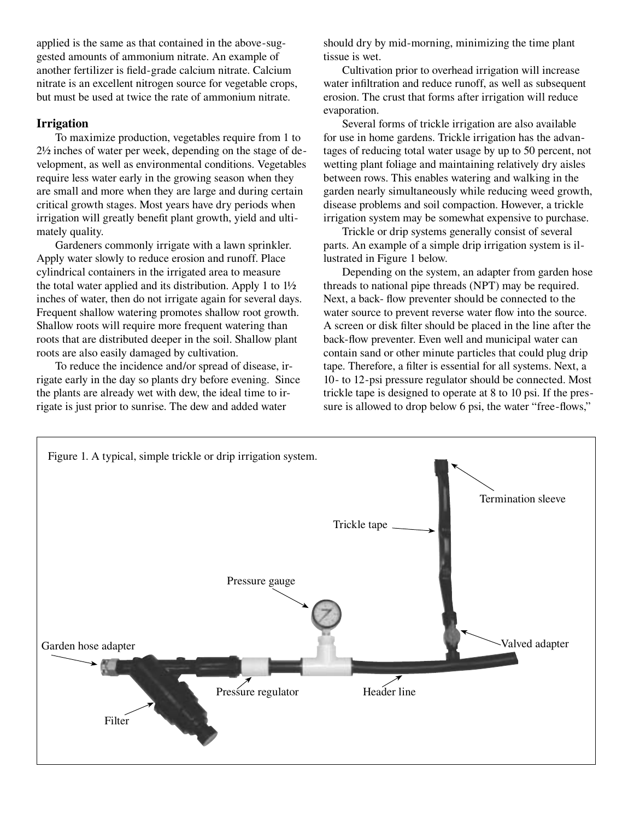applied is the same as that contained in the above-suggested amounts of ammonium nitrate. An example of another fertilizer is field-grade calcium nitrate. Calcium nitrate is an excellent nitrogen source for vegetable crops, but must be used at twice the rate of ammonium nitrate.

# **Irrigation**

To maximize production, vegetables require from 1 to 2½ inches of water per week, depending on the stage of development, as well as environmental conditions. Vegetables require less water early in the growing season when they are small and more when they are large and during certain critical growth stages. Most years have dry periods when irrigation will greatly benefit plant growth, yield and ultimately quality.

Gardeners commonly irrigate with a lawn sprinkler. Apply water slowly to reduce erosion and runoff. Place cylindrical containers in the irrigated area to measure the total water applied and its distribution. Apply 1 to 1½ inches of water, then do not irrigate again for several days. Frequent shallow watering promotes shallow root growth. Shallow roots will require more frequent watering than roots that are distributed deeper in the soil. Shallow plant roots are also easily damaged by cultivation.

To reduce the incidence and/or spread of disease, irrigate early in the day so plants dry before evening. Since the plants are already wet with dew, the ideal time to irrigate is just prior to sunrise. The dew and added water

should dry by mid-morning, minimizing the time plant tissue is wet.

Cultivation prior to overhead irrigation will increase water infiltration and reduce runoff, as well as subsequent erosion. The crust that forms after irrigation will reduce evaporation.

Several forms of trickle irrigation are also available for use in home gardens. Trickle irrigation has the advantages of reducing total water usage by up to 50 percent, not wetting plant foliage and maintaining relatively dry aisles between rows. This enables watering and walking in the garden nearly simultaneously while reducing weed growth, disease problems and soil compaction. However, a trickle irrigation system may be somewhat expensive to purchase.

Trickle or drip systems generally consist of several parts. An example of a simple drip irrigation system is illustrated in Figure 1 below.

Depending on the system, an adapter from garden hose threads to national pipe threads (NPT) may be required. Next, a back- flow preventer should be connected to the water source to prevent reverse water flow into the source. A screen or disk filter should be placed in the line after the back-flow preventer. Even well and municipal water can contain sand or other minute particles that could plug drip tape. Therefore, a filter is essential for all systems. Next, a 10- to 12-psi pressure regulator should be connected. Most trickle tape is designed to operate at 8 to 10 psi. If the pressure is allowed to drop below 6 psi, the water "free-flows,"